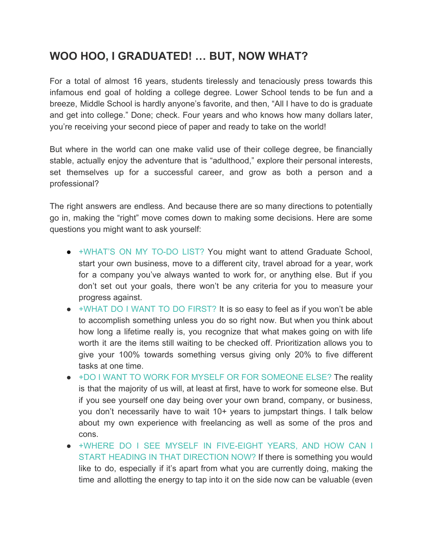## **WOO HOO, I GRADUATED! … BUT, NOW WHAT?**

For a total of almost 16 years, students tirelessly and tenaciously press towards this infamous end goal of holding a college degree. Lower School tends to be fun and a breeze, Middle School is hardly anyone's favorite, and then, "All I have to do is graduate and get into college." Done; check. Four years and who knows how many dollars later, you're receiving your second piece of paper and ready to take on the world!

But where in the world can one make valid use of their college degree, be financially stable, actually enjoy the adventure that is "adulthood," explore their personal interests, set themselves up for a successful career, and grow as both a person and a professional?

The right answers are endless. And because there are so many directions to potentially go in, making the "right" move comes down to making some decisions. Here are some questions you might want to ask yourself:

- +WHAT'S ON MY TO-DO LIST? You might want to attend Graduate School, start your own business, move to a different city, travel abroad for a year, work for a company you've always wanted to work for, or anything else. But if you don't set out your goals, there won't be any criteria for you to measure your progress against.
- +WHAT DO I WANT TO DO FIRST? It is so easy to feel as if you won't be able to accomplish something unless you do so right now. But when you think about how long a lifetime really is, you recognize that what makes going on with life worth it are the items still waiting to be checked off. Prioritization allows you to give your 100% towards something versus giving only 20% to five different tasks at one time.
- +DO I WANT TO WORK FOR MYSELF OR FOR SOMEONE ELSE? The reality is that the majority of us will, at least at first, have to work for someone else. But if you see yourself one day being over your own brand, company, or business, you don't necessarily have to wait 10+ years to jumpstart things. I talk below about my own experience with freelancing as well as some of the pros and cons.
- +WHERE DO I SEE MYSELF IN FIVE-EIGHT YEARS, AND HOW CAN I START HEADING IN THAT DIRECTION NOW? If there is something you would like to do, especially if it's apart from what you are currently doing, making the time and allotting the energy to tap into it on the side now can be valuable (even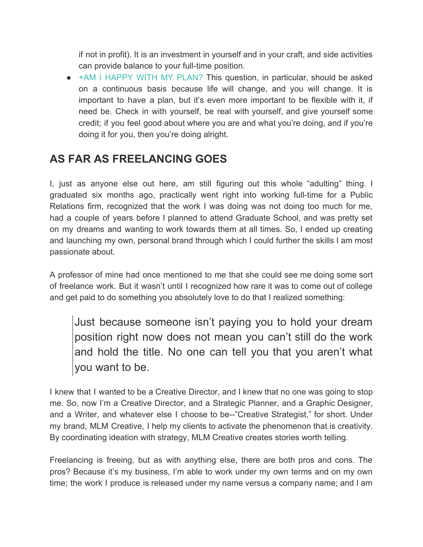if not in profit). It is an investment in yourself and in your craft, and side activities can provide balance to your full-time position.

• +AM I HAPPY WITH MY PLAN? This question, in particular, should be asked on a continuous basis because life will change, and you will change. It is important to have a plan, but it's even more important to be flexible with it, if need be. Check in with yourself, be real with yourself, and give yourself some credit; if you feel good about where you are and what you're doing, and if you're doing it for you, then you're doing alright.

## **AS FAR AS FREELANCING GOES**

I, just as anyone else out here, am still figuring out this whole "adulting" thing. I graduated six months ago, practically went right into working full-time for a Public Relations firm, recognized that the work I was doing was not doing too much for me, had a couple of years before I planned to attend Graduate School, and was pretty set on my dreams and wanting to work towards them at all times. So, I ended up creating and launching my own, personal brand through which I could further the skills I am most passionate about.

A professor of mine had once mentioned to me that she could see me doing some sort of freelance work. But it wasn't until I recognized how rare it was to come out of college and get paid to do something you absolutely love to do that I realized something:

Just because someone isn't paying you to hold your dream position right now does not mean you can't still do the work and hold the title. No one can tell you that you aren't what you want to be.

I knew that I wanted to be a Creative Director, and I knew that no one was going to stop me. So, now I'm a Creative Director, and a Strategic Planner, and a Graphic Designer, and a Writer, and whatever else I choose to be--"Creative Strategist," for short. Under my brand, MLM Creative, I help my clients to activate the phenomenon that is creativity. By coordinating ideation with strategy, MLM Creative creates stories worth telling.

Freelancing is freeing, but as with anything else, there are both pros and cons. The pros? Because it's my business, I'm able to work under my own terms and on my own time; the work I produce is released under my name versus a company name; and I am